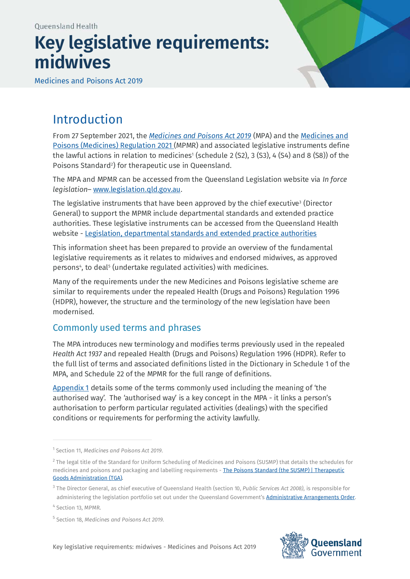# **Key legislative requirements: midwives**

Medicines and Poisons Act 2019



# Introduction

From 27 September 2021, the *[Medicines and Poisons Act 2019](https://www.legislation.qld.gov.au/view/html/inforce/current/act-2019-026)* (MPA) and the [Medicines and](https://www.legislation.qld.gov.au/view/html/inforce/current/sl-2021-0140)  [Poisons \(Medicines\) Regulation 2021](https://www.legislation.qld.gov.au/view/html/inforce/current/sl-2021-0140) (MPMR) and associated legislative instruments define the lawful actions in relation to medicines<sup>[1](#page-0-0)</sup> (schedule 2 (S2), 3 (S3), 4 (S4) and 8 (S8)) of the Poisons Standar[d2](#page-0-1) ) for therapeutic use in Queensland.

The MPA and MPMR can be accessed from the Queensland Legislation website via *In force legislation*– [www.legislation.qld.gov.au.](http://www.legislation.qld.gov.au/)

The legislative instruments that have been approved by the chief executive<sup>[3](#page-0-2)</sup> (Director General) to support the MPMR include departmental standards and extended practice authorities. These legislative instruments can be accessed from the Queensland Health website - [Legislation, departmental standards and extended practice authorities](https://www.health.qld.gov.au/system-governance/licences/medicines-poisons/medicines-poisons-act/legislation-standards)

This information sheet has been prepared to provide an overview of the fundamental legislative requirements as it relates to midwives and endorsed midwives, as approved person[s4](#page-0-3), to deal<sup>[5](#page-0-4)</sup> (undertake regulated activities) with medicines.

Many of the requirements under the new Medicines and Poisons legislative scheme are similar to requirements under the repealed Health (Drugs and Poisons) Regulation 1996 (HDPR), however, the structure and the terminology of the new legislation have been modernised.

# Commonly used terms and phrases

The MPA introduces new terminology and modifies terms previously used in the repealed *Health Act 1937* and repealed Health (Drugs and Poisons) Regulation 1996 (HDPR). Refer to the full list of terms and associated definitions listed in the Dictionary in Schedule 1 of the MPA, and Schedule 22 of the MPMR for the full range of definitions.

[Appendix 1](#page-6-0) details some of the terms commonly used including the meaning of 'the authorised way'. The 'authorised way' is a key concept in the MPA - it links a person's authorisation to perform particular regulated activities (dealings) with the specified conditions or requirements for performing the activity lawfully.



<span id="page-0-0"></span><sup>1</sup> Section 11, *Medicines and Poisons Act 2019.*

<span id="page-0-1"></span><sup>&</sup>lt;sup>2</sup> The legal title of the Standard for Uniform Scheduling of Medicines and Poisons (SUSMP) that details the schedules for medicines and poisons and packaging and labelling requirements - The Poisons Standard (the SUSMP) | Therapeutic [Goods Administration \(TGA\).](https://www.tga.gov.au/publication/poisons-standard-susmp)

<span id="page-0-2"></span><sup>3</sup> The Director General, as chief executive of Queensland Health (section 10, *Public Services Act 2008)*, is responsible for administering the legislation portfolio set out under the Queensland Government'[s Administrative Arrangements Order.](https://www.qld.gov.au/about/how-government-works/government-responsibilities)

<span id="page-0-3"></span><sup>4</sup> Section 13, MPMR.

<span id="page-0-4"></span><sup>5</sup> Section 18, *Medicines and Poisons Act 2019*.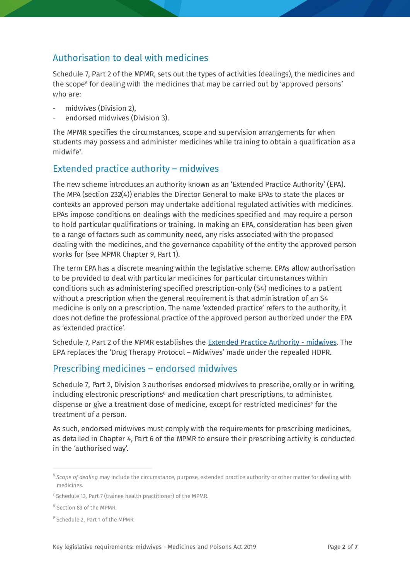# Authorisation to deal with medicines

Schedule 7, Part 2 of the MPMR, sets out the types of activities (dealings), the medicines and the scope<sup>[6](#page-1-0)</sup> for dealing with the medicines that may be carried out by 'approved persons' who are:

- midwives (Division 2).
- endorsed midwives (Division 3).

The MPMR specifies the circumstances, scope and supervision arrangements for when students may possess and administer medicines while training to obtain a qualification as a midwife<sup>7</sup>.

# Extended practice authority – midwives

The new scheme introduces an authority known as an 'Extended Practice Authority' (EPA). The MPA (section 232(4)) enables the Director General to make EPAs to state the places or contexts an approved person may undertake additional regulated activities with medicines. EPAs impose conditions on dealings with the medicines specified and may require a person to hold particular qualifications or training. In making an EPA, consideration has been given to a range of factors such as community need, any risks associated with the proposed dealing with the medicines, and the governance capability of the entity the approved person works for (see MPMR Chapter 9, Part 1).

The term EPA has a discrete meaning within the legislative scheme. EPAs allow authorisation to be provided to deal with particular medicines for particular circumstances within conditions such as administering specified prescription-only (S4) medicines to a patient without a prescription when the general requirement is that administration of an S4 medicine is only on a prescription. The name 'extended practice' refers to the authority, it does not define the professional practice of the approved person authorized under the EPA as 'extended practice'.

Schedule 7, Part 2 of the MPMR establishes the [Extended Practice Authority -](https://www.health.qld.gov.au/__data/assets/pdf_file/0026/1108943/epa-midwives.pdf) midwives. The EPA replaces the 'Drug Therapy Protocol – Midwives' made under the repealed HDPR.

# Prescribing medicines – endorsed midwives

Schedule 7, Part 2, Division 3 authorises endorsed midwives to prescribe, orally or in writing, including electronic prescriptions<sup>[8](#page-1-2)</sup> and medication chart prescriptions, to administer, dispense or give a treatment dose of medicine, except for restricted medicines<sup>[9](#page-1-3)</sup> for the treatment of a person.

As such, endorsed midwives must comply with the requirements for prescribing medicines, as detailed in Chapter 4, Part 6 of the MPMR to ensure their prescribing activity is conducted in the 'authorised way'.

<span id="page-1-0"></span><sup>6</sup> *Scope of dealing* may include the circumstance, purpose, extended practice authority or other matter for dealing with medicines.

<span id="page-1-1"></span> $<sup>7</sup>$  Schedule 13, Part 7 (trainee health practitioner) of the MPMR.</sup>

<span id="page-1-2"></span><sup>8</sup> Section 83 of the MPMR.

<span id="page-1-3"></span><sup>&</sup>lt;sup>9</sup> Schedule 2, Part 1 of the MPMR.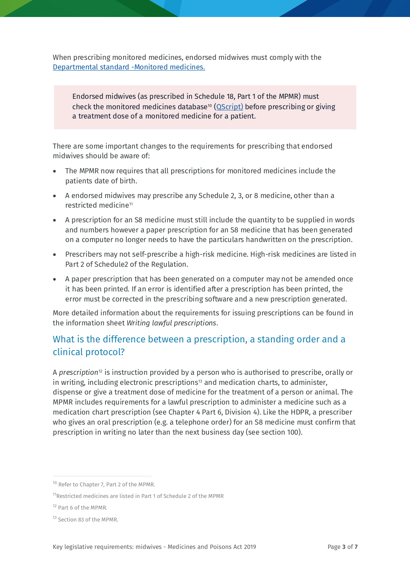When prescribing monitored medicines, endorsed midwives must comply with the [Departmental standard -Monitored medicines.](https://www.health.qld.gov.au/__data/assets/pdf_file/0029/1108937/ds-monitored-medicines.pdf)

Endorsed midwives (as prescribed in Schedule 18, Part 1 of the MPMR) must check the monitored medicines database<sup>[10](#page-2-0)</sup> [\(QScript\)](https://www.health.qld.gov.au/clinical-practice/guidelines-procedures/medicines/real-time-reporting/about-qscript) before prescribing or giving a treatment dose of a monitored medicine for a patient.

There are some important changes to the requirements for prescribing that endorsed midwives should be aware of:

- The MPMR now requires that all prescriptions for monitored medicines include the patients date of birth.
- A endorsed midwives may prescribe any Schedule 2, 3, or 8 medicine, other than a restricted medicine<sup>[11](#page-2-1)</sup>
- A prescription for an S8 medicine must still include the quantity to be supplied in words and numbers however a paper prescription for an S8 medicine that has been generated on a computer no longer needs to have the particulars handwritten on the prescription.
- Prescribers may not self-prescribe a high-risk medicine. High-risk medicines are listed in Part 2 of Schedule2 of the Regulation.
- A paper prescription that has been generated on a computer may not be amended once it has been printed. If an error is identified after a prescription has been printed, the error must be corrected in the prescribing software and a new prescription generated.

More detailed information about the requirements for issuing prescriptions can be found in the information sheet *Writing lawful prescriptions*.

# What is the difference between a prescription, a standing order and a clinical protocol?

A *prescription*[12](#page-2-2) is instruction provided by a person who is authorised to prescribe, orally or in writing, including electronic prescriptions $13$  and medication charts, to administer, dispense or give a treatment dose of medicine for the treatment of a person or animal. The MPMR includes requirements for a lawful prescription to administer a medicine such as a medication chart prescription (see Chapter 4 Part 6, Division 4). Like the HDPR, a prescriber who gives an oral prescription (e.g. a telephone order) for an S8 medicine must confirm that prescription in writing no later than the next business day (see section 100).

<span id="page-2-0"></span><sup>&</sup>lt;sup>10</sup> Refer to Chapter 7, Part 2 of the MPMR.

<span id="page-2-1"></span><sup>11</sup>Restricted medicines are listed in Part 1 of Schedule 2 of the MPMR

<span id="page-2-2"></span><sup>12</sup> Part 6 of the MPMR.

<span id="page-2-3"></span><sup>&</sup>lt;sup>13</sup> Section 83 of the MPMR.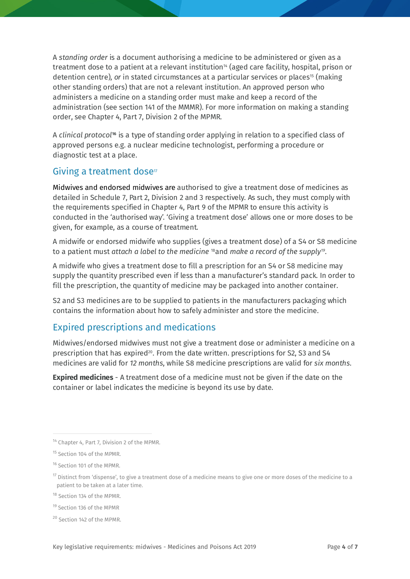A *standing order* is a document authorising a medicine to be administered or given as a treatment dose to a patient at a relevant institution<sup>14</sup> (aged care facility, hospital, prison or detention centre), *or* in stated circumstances at a particular services or places<sup>[15](#page-3-1)</sup> (making other standing orders) that are not a relevant institution. An approved person who administers a medicine on a standing order must make and keep a record of the administration (see section 141 of the MMMR). For more information on making a standing order, see Chapter 4, Part 7, Division 2 of the MPMR.

A *clinical protocol***[16](#page-3-2)** is a type of standing order applying in relation to a specified class of approved persons e.g. a nuclear medicine technologist, performing a procedure or diagnostic test at a place.

# Giving a treatment dose<sup>17</sup>

Midwives and endorsed midwives are authorised to give a treatment dose of medicines as detailed in Schedule 7, Part 2, Division 2 and 3 respectively. As such, they must comply with the requirements specified in Chapter 4, Part 9 of the MPMR to ensure this activity is conducted in the 'authorised way'. 'Giving a treatment dose' allows one or more doses to be given, for example, as a course of treatment.

A midwife or endorsed midwife who supplies (gives a treatment dose) of a S4 or S8 medicine to a patient must *attach a label to the medicine* [18](#page-3-4)and *make a record of the supply[19](#page-3-5)*.

A midwife who gives a treatment dose to fill a prescription for an S4 or S8 medicine may supply the quantity prescribed even if less than a manufacturer's standard pack. In order to fill the prescription, the quantity of medicine may be packaged into another container.

S2 and S3 medicines are to be supplied to patients in the manufacturers packaging which contains the information about how to safely administer and store the medicine.

# Expired prescriptions and medications

Midwives/endorsed midwives must not give a treatment dose or administer a medicine on a prescription that has expired<sup>20</sup>. From the date written. prescriptions for S2, S3 and S4 medicines are valid for *12 months*, while S8 medicine prescriptions are valid for *six months*.

**Expired medicines** - A treatment dose of a medicine must not be given if the date on the container or label indicates the medicine is beyond its use by date.

<span id="page-3-6"></span><sup>20</sup> Section 142 of the MPMR.

<span id="page-3-0"></span><sup>&</sup>lt;sup>14</sup> Chapter 4, Part 7, Division 2 of the MPMR.

<span id="page-3-1"></span><sup>15</sup> Section 104 of the MPMR.

<span id="page-3-2"></span><sup>16</sup> Section 101 of the MPMR.

<span id="page-3-3"></span> $17$  Distinct from 'dispense', to give a treatment dose of a medicine means to give one or more doses of the medicine to a patient to be taken at a later time.

<span id="page-3-4"></span><sup>18</sup> Section 134 of the MPMR.

<span id="page-3-5"></span><sup>19</sup> Section 136 of the MPMR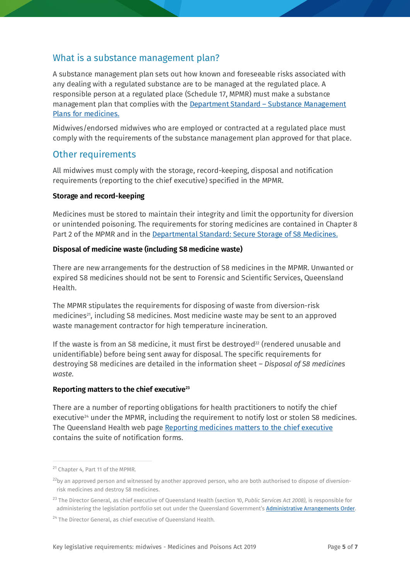### What is a substance management plan?

A substance management plan sets out how known and foreseeable risks associated with any dealing with a regulated substance are to be managed at the regulated place. A responsible person at a regulated place (Schedule 17, MPMR) must make a substance management plan that complies with the Department Standard – Substance Management [Plans for medicines.](https://www.health.qld.gov.au/__data/assets/pdf_file/0023/1108940/ds-substance-management-plans-medicines.pdf)

Midwives/endorsed midwives who are employed or contracted at a regulated place must comply with the requirements of the substance management plan approved for that place.

#### Other requirements

All midwives must comply with the storage, record-keeping, disposal and notification requirements (reporting to the chief executive) specified in the MPMR.

#### **Storage and record-keeping**

Medicines must be stored to maintain their integrity and limit the opportunity for diversion or unintended poisoning. The requirements for storing medicines are contained in Chapter 8 Part 2 of the MPMR and in th[e Departmental Standard: Secure Storage of S8 Medicines.](https://www.health.qld.gov.au/__data/assets/pdf_file/0031/1108939/ds-secure-storage-s8-medicines.pdf)

#### **Disposal of medicine waste (including S8 medicine waste)**

There are new arrangements for the destruction of S8 medicines in the MPMR. Unwanted or expired S8 medicines should not be sent to Forensic and Scientific Services, Queensland Health.

The MPMR stipulates the requirements for disposing of waste from diversion-risk medicines<sup>21</sup>, including S8 medicines. Most medicine waste may be sent to an approved waste management contractor for high temperature incineration.

If the waste is from an S8 medicine, it must first be destroyed<sup>[22](#page-4-1)</sup> (rendered unusable and unidentifiable) before being sent away for disposal. The specific requirements for destroying S8 medicines are detailed in the information sheet – *Disposal of S8 medicines waste.* 

#### **Reporting matters to the chief executive[23](#page-4-2)**

There are a number of reporting obligations for health practitioners to notify the chief executive<sup>[24](#page-4-3)</sup> under the MPMR, including the requirement to notify lost or stolen S8 medicines. The Queensland Health web page [Reporting medicines matters to the chief executive](https://www.health.qld.gov.au/system-governance/licences/medicines-poisons/reporting-medicines-matters) contains the suite of notification forms.

<span id="page-4-0"></span><sup>&</sup>lt;sup>21</sup> Chapter 4, Part 11 of the MPMR.

<span id="page-4-1"></span> $^{22}$ by an approved person and witnessed by another approved person, who are both authorised to dispose of diversionrisk medicines and destroy S8 medicines.

<span id="page-4-2"></span><sup>23</sup> The Director General, as chief executive of Queensland Health (section 10, *Public Services Act 2008)*, is responsible for administering the legislation portfolio set out under the Queensland Government's **Administrative Arrangements Order**.

<span id="page-4-3"></span> $24$  The Director General, as chief executive of Queensland Health.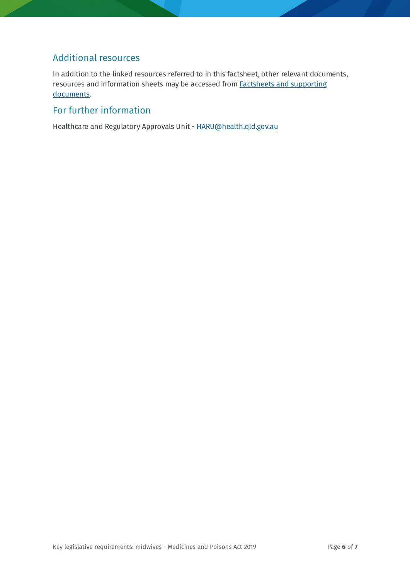# Additional resources

In addition to the linked resources referred to in this factsheet, other relevant documents, resources and information sheets may be accessed fro[m Factsheets and supporting](https://www.health.qld.gov.au/system-governance/licences/medicines-poisons/medicines-poisons-act/supporting-documents)  [documents.](https://www.health.qld.gov.au/system-governance/licences/medicines-poisons/medicines-poisons-act/supporting-documents)

# For further information

Healthcare and Regulatory Approvals Unit - [HARU@health.qld.gov.au](mailto:HARU@health.qld.gov.au)